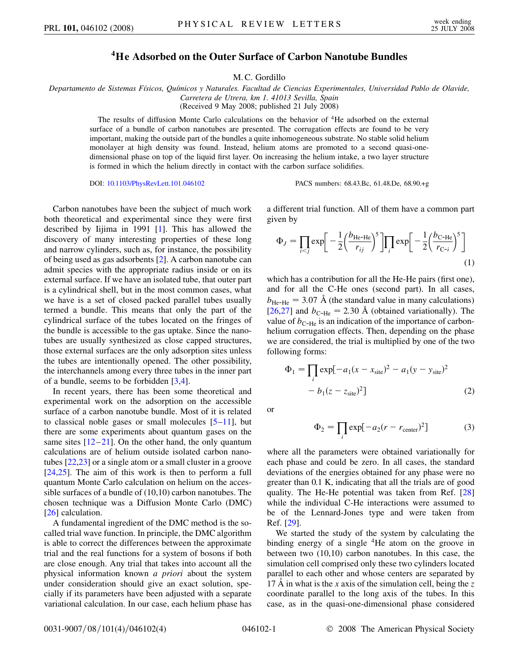## **4He Adsorbed on the Outer Surface of Carbon Nanotube Bundles**

M. C. Gordillo

*Departamento de Sistemas Fı´sicos, Quı´micos y Naturales. Facultad de Ciencias Experimentales, Universidad Pablo de Olavide, Carretera de Utrera, km 1. 41013 Sevilla, Spain*

(Received 9 May 2008; published 21 July 2008)

The results of diffusion Monte Carlo calculations on the behavior of 4He adsorbed on the external surface of a bundle of carbon nanotubes are presented. The corrugation effects are found to be very important, making the outside part of the bundles a quite inhomogeneous substrate. No stable solid helium monolayer at high density was found. Instead, helium atoms are promoted to a second quasi-onedimensional phase on top of the liquid first layer. On increasing the helium intake, a two layer structure is formed in which the helium directly in contact with the carbon surface solidifies.

DOI: [10.1103/PhysRevLett.101.046102](http://dx.doi.org/10.1103/PhysRevLett.101.046102) PACS numbers: 68.43.Bc, 61.48.De, 68.90.+g

Carbon nanotubes have been the subject of much work both theoretical and experimental since they were first described by Iijima in 1991 [\[1\]](#page-3-0). This has allowed the discovery of many interesting properties of these long and narrow cylinders, such as, for instance, the possibility of being used as gas adsorbents [[2\]](#page-3-1). A carbon nanotube can admit species with the appropriate radius inside or on its external surface. If we have an isolated tube, that outer part is a cylindrical shell, but in the most common cases, what we have is a set of closed packed parallel tubes usually termed a bundle. This means that only the part of the cylindrical surface of the tubes located on the fringes of the bundle is accessible to the gas uptake. Since the nanotubes are usually synthesized as close capped structures, those external surfaces are the only adsorption sites unless the tubes are intentionally opened. The other possibility, the interchannels among every three tubes in the inner part of a bundle, seems to be forbidden [\[3](#page-3-2)[,4\]](#page-3-3).

In recent years, there has been some theoretical and experimental work on the adsorption on the accessible surface of a carbon nanotube bundle. Most of it is related to classical noble gases or small molecules  $[5-11]$  $[5-11]$  $[5-11]$  $[5-11]$ , but there are some experiments about quantum gases on the same sites  $[12-21]$  $[12-21]$  $[12-21]$  $[12-21]$ . On the other hand, the only quantum calculations are of helium outside isolated carbon nanotubes [[22](#page-3-8),[23](#page-3-9)] or a single atom or a small cluster in a groove [\[24](#page-3-10)[,25\]](#page-3-11). The aim of this work is then to perform a full quantum Monte Carlo calculation on helium on the accessible surfaces of a bundle of (10,10) carbon nanotubes. The chosen technique was a Diffusion Monte Carlo (DMC) [\[26\]](#page-3-12) calculation.

A fundamental ingredient of the DMC method is the socalled trial wave function. In principle, the DMC algorithm is able to correct the differences between the approximate trial and the real functions for a system of bosons if both are close enough. Any trial that takes into account all the physical information known *a priori* about the system under consideration should give an exact solution, specially if its parameters have been adjusted with a separate variational calculation. In our case, each helium phase has a different trial function. All of them have a common part given by

$$
\Phi_J = \prod_{i < j} \exp\left[-\frac{1}{2} \left(\frac{b_{\text{He-He}}}{r_{ij}}\right)^5\right] \prod_i \exp\left[-\frac{1}{2} \left(\frac{b_{\text{C-He}}}{r_{\text{C-}i}}\right)^5\right] \tag{1}
$$

which has a contribution for all the He-He pairs (first one), and for all the C-He ones (second part). In all cases,  $b_{\text{He-He}} = 3.07 \text{ Å}$  (the standard value in many calculations) [\[26](#page-3-12)[,27\]](#page-3-13) and  $b_{\text{C-He}} = 2.30 \text{ Å}$  (obtained variationally). The value of  $b_{\text{C-He}}$  is an indication of the importance of carbonhelium corrugation effects. Then, depending on the phase we are considered, the trial is multiplied by one of the two following forms:

$$
\Phi_1 = \prod_i \exp[-a_1(x - x_{\text{site}})^2 - a_1(y - y_{\text{site}})^2 - b_1(z - z_{\text{site}})^2]
$$
\n(2)

or

$$
\Phi_2 = \prod_i \exp[-a_2(r - r_{\text{center}})^2]
$$
 (3)

where all the parameters were obtained variationally for each phase and could be zero. In all cases, the standard deviations of the energies obtained for any phase were no greater than 0.1 K, indicating that all the trials are of good quality. The He-He potential was taken from Ref. [\[28\]](#page-3-14) while the individual C-He interactions were assumed to be of the Lennard-Jones type and were taken from Ref. [\[29\]](#page-3-15).

We started the study of the system by calculating the binding energy of a single 4He atom on the groove in between two (10,10) carbon nanotubes. In this case, the simulation cell comprised only these two cylinders located parallel to each other and whose centers are separated by 17 Å in what is the *x* axis of the simulation cell, being the  $z$ coordinate parallel to the long axis of the tubes. In this case, as in the quasi-one-dimensional phase considered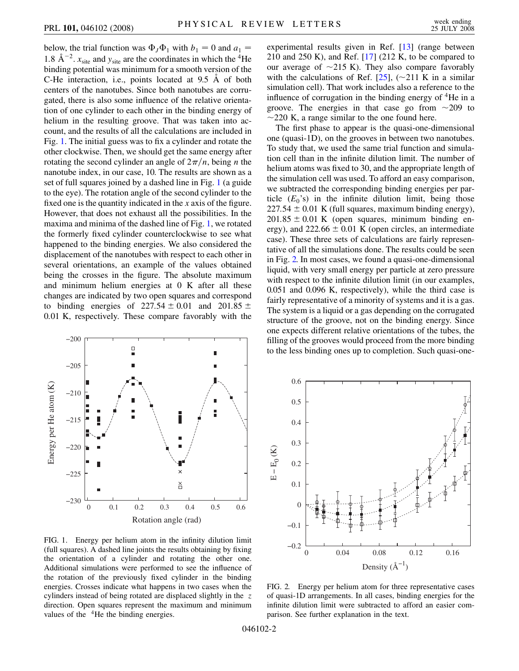below, the trial function was  $\Phi_J \Phi_1$  with  $b_1 = 0$  and  $a_1 =$ 1.8  $\text{\AA}^{-2}$ .  $x_{\text{site}}$  and  $y_{\text{site}}$  are the coordinates in which the <sup>4</sup>He binding potential was minimum for a smooth version of the C-He interaction, i.e., points located at  $9.5 \text{ Å}$  of both centers of the nanotubes. Since both nanotubes are corrugated, there is also some influence of the relative orientation of one cylinder to each other in the binding energy of helium in the resulting groove. That was taken into account, and the results of all the calculations are included in Fig. [1](#page-1-0). The initial guess was to fix a cylinder and rotate the other clockwise. Then, we should get the same energy after rotating the second cylinder an angle of  $2\pi/n$ , being *n* the nanotube index, in our case, 10. The results are shown as a set of full squares joined by a dashed line in Fig. [1](#page-1-0) (a guide to the eye). The rotation angle of the second cylinder to the fixed one is the quantity indicated in the *x* axis of the figure. However, that does not exhaust all the possibilities. In the maxima and minima of the dashed line of Fig. [1,](#page-1-0) we rotated the formerly fixed cylinder counterclockwise to see what happened to the binding energies. We also considered the displacement of the nanotubes with respect to each other in several orientations, an example of the values obtained being the crosses in the figure. The absolute maximum and minimum helium energies at 0 K after all these changes are indicated by two open squares and correspond to binding energies of  $227.54 \pm 0.01$  and  $201.85 \pm 0.01$ 0*:*01 K, respectively. These compare favorably with the

<span id="page-1-0"></span>

FIG. 1. Energy per helium atom in the infinity dilution limit (full squares). A dashed line joints the results obtaining by fixing the orientation of a cylinder and rotating the other one. Additional simulations were performed to see the influence of the rotation of the previously fixed cylinder in the binding energies. Crosses indicate what happens in two cases when the cylinders instead of being rotated are displaced slightly in the *z* direction. Open squares represent the maximum and minimum values of the <sup>4</sup>He the binding energies.

experimental results given in Ref. [\[13\]](#page-3-16) (range between 210 and 250 K), and Ref.  $[17]$  (212 K, to be compared to our average of  $\sim$ 215 K). They also compare favorably with the calculations of Ref. [[25](#page-3-11)],  $(\sim 211 \text{ K} \text{ in a similar})$ simulation cell). That work includes also a reference to the influence of corrugation in the binding energy of  ${}^{4}$ He in a groove. The energies in that case go from  $\sim$ 209 to  $\sim$ 220 K, a range similar to the one found here.

The first phase to appear is the quasi-one-dimensional one (quasi-1D), on the grooves in between two nanotubes. To study that, we used the same trial function and simulation cell than in the infinite dilution limit. The number of helium atoms was fixed to 30, and the appropriate length of the simulation cell was used. To afford an easy comparison, we subtracted the corresponding binding energies per particle  $(E_0)$  in the infinite dilution limit, being those  $227.54 \pm 0.01$  K (full squares, maximum binding energy),  $201.85 \pm 0.01$  K (open squares, minimum binding energy), and  $222.66 \pm 0.01$  K (open circles, an intermediate case). These three sets of calculations are fairly representative of all the simulations done. The results could be seen in Fig. [2.](#page-1-1) In most cases, we found a quasi-one-dimensional liquid, with very small energy per particle at zero pressure with respect to the infinite dilution limit (in our examples, 0.051 and 0.096 K, respectively), while the third case is fairly representative of a minority of systems and it is a gas. The system is a liquid or a gas depending on the corrugated structure of the groove, not on the binding energy. Since one expects different relative orientations of the tubes, the filling of the grooves would proceed from the more binding to the less binding ones up to completion. Such quasi-one-

<span id="page-1-1"></span>

FIG. 2. Energy per helium atom for three representative cases of quasi-1D arrangements. In all cases, binding energies for the infinite dilution limit were subtracted to afford an easier comparison. See further explanation in the text.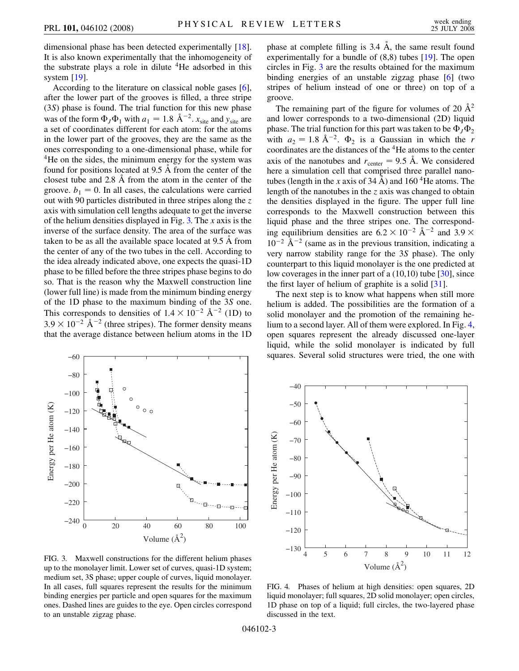dimensional phase has been detected experimentally [[18\]](#page-3-18). It is also known experimentally that the inhomogeneity of the substrate plays a role in dilute  ${}^{4}$ He adsorbed in this system [[19\]](#page-3-19).

According to the literature on classical noble gases [[6\]](#page-3-20), after the lower part of the grooves is filled, a three stripe (3*S*) phase is found. The trial function for this new phase was of the form  $\Phi_J \Phi_1$  with  $a_1 = 1.8 \text{ Å}^{-2}$ .  $x_{\text{site}}$  and  $y_{\text{site}}$  are a set of coordinates different for each atom: for the atoms in the lower part of the grooves, they are the same as the ones corresponding to a one-dimensional phase, while for <sup>4</sup>He on the sides, the minimum energy for the system was found for positions located at 9.5 A from the center of the closest tube and 2.8 A from the atom in the center of the groove.  $b_1 = 0$ . In all cases, the calculations were carried out with 90 particles distributed in three stripes along the *z* axis with simulation cell lengths adequate to get the inverse of the helium densities displayed in Fig. [3.](#page-2-0) The *x* axis is the inverse of the surface density. The area of the surface was taken to be as all the available space located at 9.5 A from the center of any of the two tubes in the cell. According to the idea already indicated above, one expects the quasi-1D phase to be filled before the three stripes phase begins to do so. That is the reason why the Maxwell construction line (lower full line) is made from the minimum binding energy of the 1D phase to the maximum binding of the 3*S* one. This corresponds to densities of  $1.4 \times 10^{-2}$  Å<sup>-2</sup> (1D) to  $3.9 \times 10^{-2}$  Å<sup>-2</sup> (three stripes). The former density means that the average distance between helium atoms in the 1D

<span id="page-2-0"></span>

FIG. 3. Maxwell constructions for the different helium phases up to the monolayer limit. Lower set of curves, quasi-1D system; medium set, 3S phase; upper couple of curves, liquid monolayer. In all cases, full squares represent the results for the minimum binding energies per particle and open squares for the maximum ones. Dashed lines are guides to the eye. Open circles correspond to an unstable zigzag phase.

phase at complete filling is 3.4  $\AA$ , the same result found experimentally for a bundle of (8,8) tubes [\[19\]](#page-3-19). The open circles in Fig. [3](#page-2-0) are the results obtained for the maximum binding energies of an unstable zigzag phase [[6](#page-3-20)] (two stripes of helium instead of one or three) on top of a groove.

The remaining part of the figure for volumes of 20  $\AA^2$ and lower corresponds to a two-dimensional (2D) liquid phase. The trial function for this part was taken to be  $\Phi_J \Phi_2$ with  $a_2 = 1.8 \text{ Å}^{-2}$ .  $\Phi_2$  is a Gaussian in which the *r* coordinates are the distances of the 4He atoms to the center axis of the nanotubes and  $r_{\text{center}} = 9.5 \text{ Å}$ . We considered here a simulation cell that comprised three parallel nanotubes (length in the *x* axis of  $34 \text{ Å}$ ) and  $160 \text{ }^4$ He atoms. The length of the nanotubes in the *z* axis was changed to obtain the densities displayed in the figure. The upper full line corresponds to the Maxwell construction between this liquid phase and the three stripes one. The corresponding equilibrium densities are  $6.2 \times 10^{-2}$  Å<sup>-2</sup> and 3.9  $\times$  $10^{-2}$  Å<sup>-2</sup> (same as in the previous transition, indicating a very narrow stability range for the 3*S* phase). The only counterpart to this liquid monolayer is the one predicted at low coverages in the inner part of a (10,10) tube [[30](#page-3-21)], since the first layer of helium of graphite is a solid [[31](#page-3-22)].

The next step is to know what happens when still more helium is added. The possibilities are the formation of a solid monolayer and the promotion of the remaining helium to a second layer. All of them were explored. In Fig. [4](#page-2-1), open squares represent the already discussed one-layer liquid, while the solid monolayer is indicated by full squares. Several solid structures were tried, the one with

<span id="page-2-1"></span>

FIG. 4. Phases of helium at high densities: open squares, 2D liquid monolayer; full squares, 2D solid monolayer; open circles, 1D phase on top of a liquid; full circles, the two-layered phase discussed in the text.